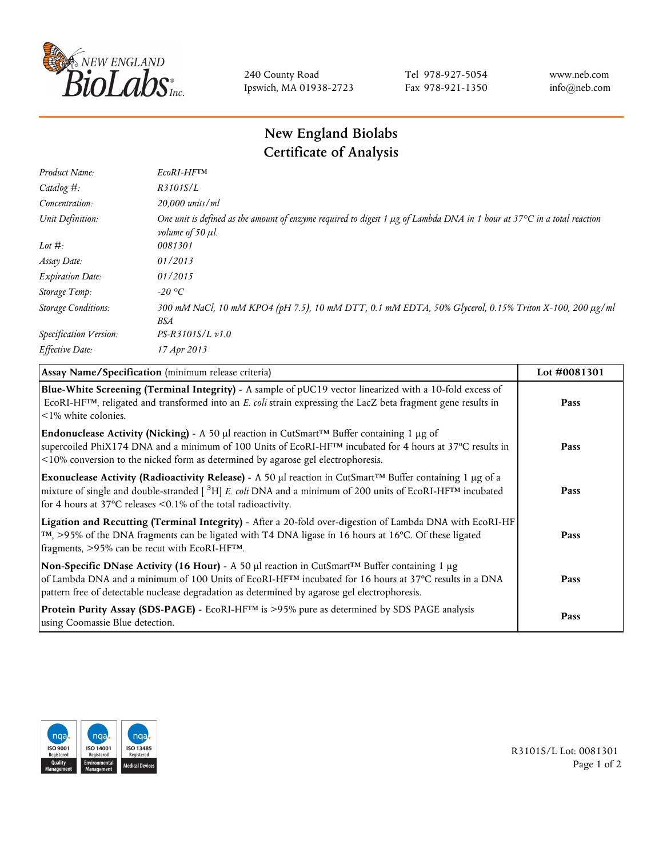

240 County Road Ipswich, MA 01938-2723 Tel 978-927-5054 Fax 978-921-1350 www.neb.com info@neb.com

## **New England Biolabs Certificate of Analysis**

| Product Name:              | EcoRI-HFTM                                                                                                                                                                       |
|----------------------------|----------------------------------------------------------------------------------------------------------------------------------------------------------------------------------|
| Catalog #:                 | R3101S/L                                                                                                                                                                         |
| Concentration:             | 20,000 units/ml                                                                                                                                                                  |
| Unit Definition:           | One unit is defined as the amount of enzyme required to digest 1 $\mu$ g of Lambda DNA in 1 hour at 37 $\degree$ C in a total reaction<br><i>volume of 50 <math>\mu</math>l.</i> |
| Lot $#$ :                  | 0081301                                                                                                                                                                          |
| Assay Date:                | 01/2013                                                                                                                                                                          |
| <b>Expiration Date:</b>    | 01/2015                                                                                                                                                                          |
| Storage Temp:              | $-20\text{ °C}$                                                                                                                                                                  |
| <b>Storage Conditions:</b> | 300 mM NaCl, 10 mM KPO4 (pH 7.5), 10 mM DTT, 0.1 mM EDTA, 50% Glycerol, 0.15% Triton X-100, 200 µg/ml<br>BSA                                                                     |
| Specification Version:     | $PS-R3101S/L \nu 1.0$                                                                                                                                                            |
| Effective Date:            | 17 Apr 2013                                                                                                                                                                      |

| Assay Name/Specification (minimum release criteria)                                                                                                                                                                                                                                                                                         | Lot #0081301 |
|---------------------------------------------------------------------------------------------------------------------------------------------------------------------------------------------------------------------------------------------------------------------------------------------------------------------------------------------|--------------|
| Blue-White Screening (Terminal Integrity) - A sample of pUC19 vector linearized with a 10-fold excess of<br>ECORI-HFTM, religated and transformed into an E. coli strain expressing the LacZ beta fragment gene results in<br>$\leq$ 1% white colonies.                                                                                     | Pass         |
| Endonuclease Activity (Nicking) - A 50 µl reaction in CutSmart™ Buffer containing 1 µg of<br>supercoiled PhiX174 DNA and a minimum of 100 Units of EcoRI-HFTM incubated for 4 hours at 37°C results in<br><10% conversion to the nicked form as determined by agarose gel electrophoresis.                                                  | Pass         |
| Exonuclease Activity (Radioactivity Release) - A 50 µl reaction in CutSmart™ Buffer containing 1 µg of a<br>mixture of single and double-stranded $\left[$ <sup>3</sup> H $\right]$ E. coli DNA and a minimum of 200 units of EcoRI-HF <sup>TM</sup> incubated<br>for 4 hours at 37 $^{\circ}$ C releases <0.1% of the total radioactivity. | Pass         |
| Ligation and Recutting (Terminal Integrity) - After a 20-fold over-digestion of Lambda DNA with EcoRI-HF<br>TM, >95% of the DNA fragments can be ligated with T4 DNA ligase in 16 hours at 16°C. Of these ligated<br>fragments, >95% can be recut with EcoRI-HFTM.                                                                          | Pass         |
| Non-Specific DNase Activity (16 Hour) - A 50 µl reaction in CutSmart™ Buffer containing 1 µg<br>of Lambda DNA and a minimum of 100 Units of EcoRI-HFTM incubated for 16 hours at 37°C results in a DNA<br>pattern free of detectable nuclease degradation as determined by agarose gel electrophoresis.                                     | Pass         |
| Protein Purity Assay (SDS-PAGE) - EcoRI-HF™ is >95% pure as determined by SDS PAGE analysis<br>using Coomassie Blue detection.                                                                                                                                                                                                              | Pass         |



R3101S/L Lot: 0081301 Page 1 of 2